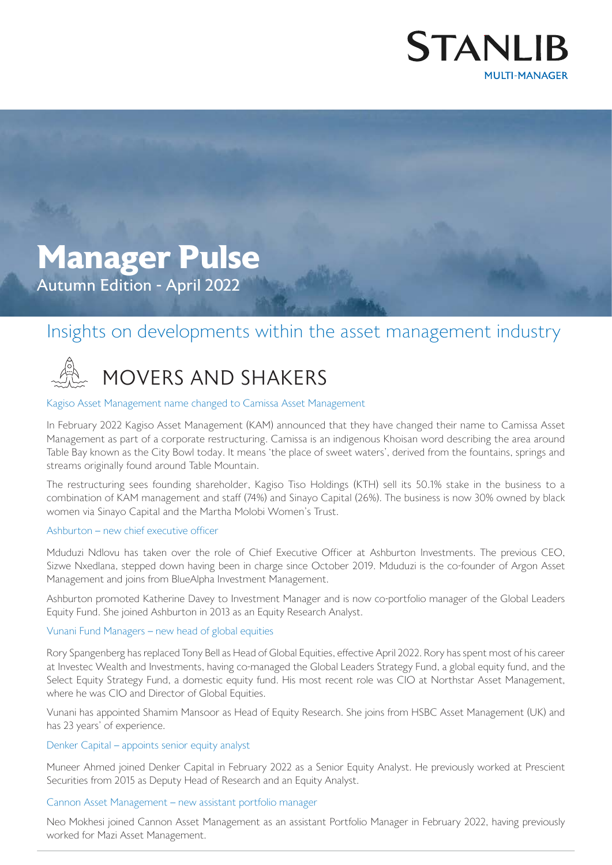

# **Manager Pulse** Autumn Edition - April 2022

## Insights on developments within the asset management industry

# MOVERS AND SHAKERS

#### Kagiso Asset Management name changed to Camissa Asset Management

In February 2022 Kagiso Asset Management (KAM) announced that they have changed their name to Camissa Asset Management as part of a corporate restructuring. Camissa is an indigenous Khoisan word describing the area around Table Bay known as the City Bowl today. It means 'the place of sweet waters', derived from the fountains, springs and streams originally found around Table Mountain.

The restructuring sees founding shareholder, Kagiso Tiso Holdings (KTH) sell its 50.1% stake in the business to a combination of KAM management and staff (74%) and Sinayo Capital (26%). The business is now 30% owned by black women via Sinayo Capital and the Martha Molobi Women's Trust.

#### Ashburton – new chief executive officer

Mduduzi Ndlovu has taken over the role of Chief Executive Officer at Ashburton Investments. The previous CEO, Sizwe Nxedlana, stepped down having been in charge since October 2019. Mduduzi is the co-founder of Argon Asset Management and joins from BlueAlpha Investment Management.

Ashburton promoted Katherine Davey to Investment Manager and is now co-portfolio manager of the Global Leaders Equity Fund. She joined Ashburton in 2013 as an Equity Research Analyst.

#### Vunani Fund Managers – new head of global equities

Rory Spangenberg has replaced Tony Bell as Head of Global Equities, effective April 2022. Rory has spent most of his career at Investec Wealth and Investments, having co-managed the Global Leaders Strategy Fund, a global equity fund, and the Select Equity Strategy Fund, a domestic equity fund. His most recent role was CIO at Northstar Asset Management, where he was CIO and Director of Global Equities.

Vunani has appointed Shamim Mansoor as Head of Equity Research. She joins from HSBC Asset Management (UK) and has 23 years' of experience.

#### Denker Capital – appoints senior equity analyst

Muneer Ahmed joined Denker Capital in February 2022 as a Senior Equity Analyst. He previously worked at Prescient Securities from 2015 as Deputy Head of Research and an Equity Analyst.

#### Cannon Asset Management – new assistant portfolio manager

Neo Mokhesi joined Cannon Asset Management as an assistant Portfolio Manager in February 2022, having previously worked for Mazi Asset Management.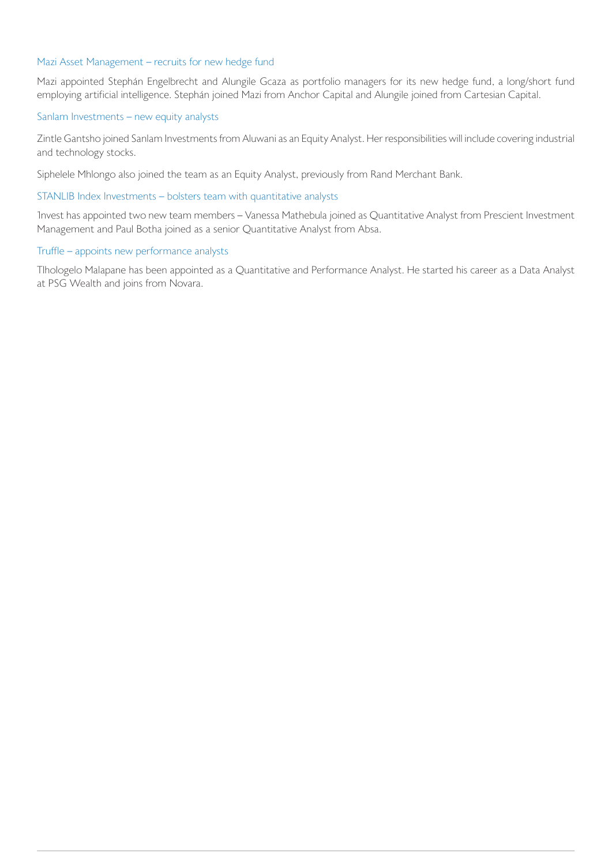#### Mazi Asset Management – recruits for new hedge fund

Mazi appointed Stephán Engelbrecht and Alungile Gcaza as portfolio managers for its new hedge fund, a long/short fund employing artificial intelligence. Stephán joined Mazi from Anchor Capital and Alungile joined from Cartesian Capital.

#### Sanlam Investments – new equity analysts

Zintle Gantsho joined Sanlam Investments from Aluwani as an Equity Analyst. Her responsibilities will include covering industrial and technology stocks.

Siphelele Mhlongo also joined the team as an Equity Analyst, previously from Rand Merchant Bank.

#### STANLIB Index Investments – bolsters team with quantitative analysts

1nvest has appointed two new team members – Vanessa Mathebula joined as Quantitative Analyst from Prescient Investment Management and Paul Botha joined as a senior Quantitative Analyst from Absa.

#### Truffle – appoints new performance analysts

Tlhologelo Malapane has been appointed as a Quantitative and Performance Analyst. He started his career as a Data Analyst at PSG Wealth and joins from Novara.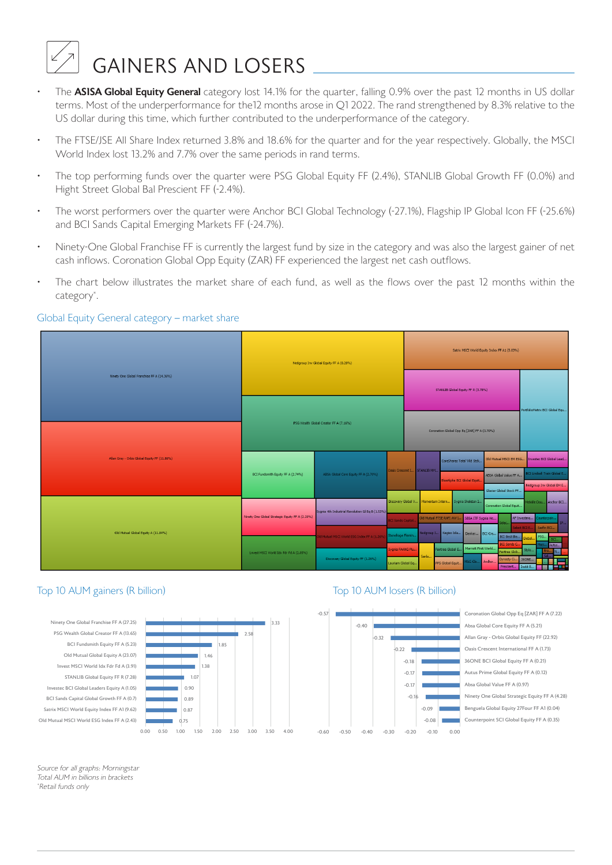# $\mathbb{Z}$  GAINERS AND LOSERS  $\_\_\_\_\_\_\_\_\_\_\_\_\_\_\_\_\_\_\_\_$

- terms. Most of the underperformance for the12 months arose in Q1 2022. The rand strengthened by 8.3% relative to the US dollar during this time, which further contributed to the underperformance of the category. The **ASISA Global Equity General** category lost 14.1% for the quarter, falling 0.9% over the past 12 months in US dollar
- The FTSE/JSE All Share Index returned 3.8% and 18.6% for the quarter and for the year respectively. Globally, the MSCI World Index lost 13.2% and 7.7% over the same periods in rand terms.
- $\cdot$  The top performing funds over the quarter were PSG Global Equity FF (2.4%), STANLIB Global Growth FF (0.0%) and • The top performing funds over the quarter were PSG Global Equity FF (2.4%), STANLIB Global Growth FF (0.0%) Hight Street Global Bal Prescient FF (-2.4%).
- The worst performers over the quarter were Anchor BCI Global Technology (-27.1%), Flagship IP Global Icon FF (-25.6%) and BCI Sands Capital Emerging Markets FF (-24.7%), Flagship Icon Fernice Sand BCI Sands Capital Icon F
- Ninety-One Global Franchise FF is currently the largest fund by size in the category and was also the largest gainer of net cash inflows. Coronation Global Opp Equity (ZAR) FF experienced the largest net cash outflows.
- The chart below illustrates the market share of each fund, as well as the flows over the past 12 months within the  $\sigma$  category  $\alpha$  is the market share of each fund, as well as the flows over the past 12 months within the past 12 months within the past 12 months within the past 12 months within the past 12 months within the past 12 category\* .

#### Global Equity General category - market share



### Top 10 AUM gainers (R billion)





## Top 10 AUM losers (R billion)



*Source for all graphs: Morningstar* Source for all graphs: Morningstar *Total AUM in billions in brackets* Total AUM in billions in brackets *\*Retail funds only* \*Retail funds only